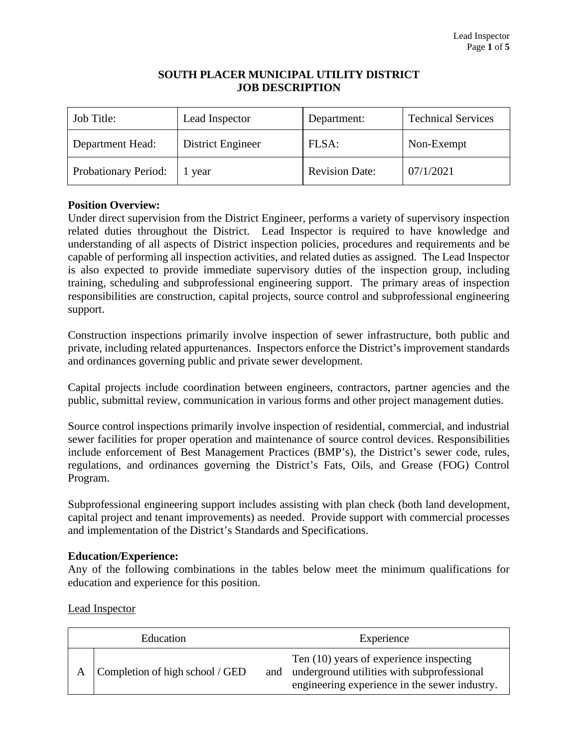## **SOUTH PLACER MUNICIPAL UTILITY DISTRICT JOB DESCRIPTION**

| Job Title:           | Lead Inspector    | Department:           | <b>Technical Services</b> |
|----------------------|-------------------|-----------------------|---------------------------|
| Department Head:     | District Engineer | FLSA:                 | Non-Exempt                |
| Probationary Period: | year              | <b>Revision Date:</b> | 07/1/2021                 |

# **Position Overview:**

Under direct supervision from the District Engineer, performs a variety of supervisory inspection related duties throughout the District. Lead Inspector is required to have knowledge and understanding of all aspects of District inspection policies, procedures and requirements and be capable of performing all inspection activities, and related duties as assigned. The Lead Inspector is also expected to provide immediate supervisory duties of the inspection group, including training, scheduling and subprofessional engineering support. The primary areas of inspection responsibilities are construction, capital projects, source control and subprofessional engineering support.

Construction inspections primarily involve inspection of sewer infrastructure, both public and private, including related appurtenances. Inspectors enforce the District's improvement standards and ordinances governing public and private sewer development.

Capital projects include coordination between engineers, contractors, partner agencies and the public, submittal review, communication in various forms and other project management duties.

Source control inspections primarily involve inspection of residential, commercial, and industrial sewer facilities for proper operation and maintenance of source control devices. Responsibilities include enforcement of Best Management Practices (BMP's), the District's sewer code, rules, regulations, and ordinances governing the District's Fats, Oils, and Grease (FOG) Control Program.

Subprofessional engineering support includes assisting with plan check (both land development, capital project and tenant improvements) as needed. Provide support with commercial processes and implementation of the District's Standards and Specifications.

## **Education/Experience:**

Any of the following combinations in the tables below meet the minimum qualifications for education and experience for this position.

Lead Inspector

| Education |                                 | Experience                                                                                                                                 |  |
|-----------|---------------------------------|--------------------------------------------------------------------------------------------------------------------------------------------|--|
| A         | Completion of high school / GED | Ten (10) years of experience inspecting<br>and underground utilities with subprofessional<br>engineering experience in the sewer industry. |  |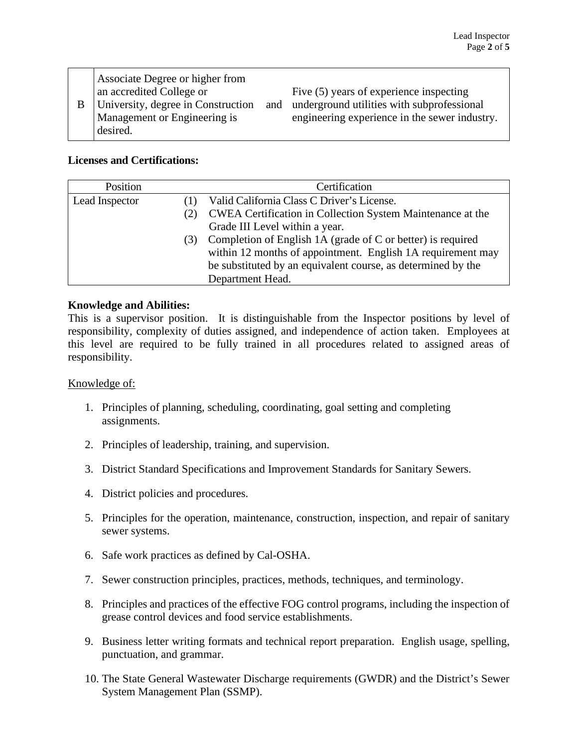| B | Associate Degree or higher from<br>an accredited College or<br>University, degree in Construction<br>Management or Engineering is<br>desired. |  | Five $(5)$ years of experience inspecting<br>and underground utilities with subprofessional<br>engineering experience in the sewer industry. |
|---|-----------------------------------------------------------------------------------------------------------------------------------------------|--|----------------------------------------------------------------------------------------------------------------------------------------------|
|---|-----------------------------------------------------------------------------------------------------------------------------------------------|--|----------------------------------------------------------------------------------------------------------------------------------------------|

## **Licenses and Certifications:**

| Position       |     | Certification                                                     |  |
|----------------|-----|-------------------------------------------------------------------|--|
| Lead Inspector |     | Valid California Class C Driver's License.                        |  |
|                | (2) | <b>CWEA Certification in Collection System Maintenance at the</b> |  |
|                |     | Grade III Level within a year.                                    |  |
|                | (3) | Completion of English 1A (grade of C or better) is required       |  |
|                |     | within 12 months of appointment. English 1A requirement may       |  |
|                |     | be substituted by an equivalent course, as determined by the      |  |
|                |     | Department Head.                                                  |  |

# **Knowledge and Abilities:**

This is a supervisor position. It is distinguishable from the Inspector positions by level of responsibility, complexity of duties assigned, and independence of action taken. Employees at this level are required to be fully trained in all procedures related to assigned areas of responsibility.

## Knowledge of:

- 1. Principles of planning, scheduling, coordinating, goal setting and completing assignments.
- 2. Principles of leadership, training, and supervision.
- 3. District Standard Specifications and Improvement Standards for Sanitary Sewers.
- 4. District policies and procedures.
- 5. Principles for the operation, maintenance, construction, inspection, and repair of sanitary sewer systems.
- 6. Safe work practices as defined by Cal-OSHA.
- 7. Sewer construction principles, practices, methods, techniques, and terminology.
- 8. Principles and practices of the effective FOG control programs, including the inspection of grease control devices and food service establishments.
- 9. Business letter writing formats and technical report preparation. English usage, spelling, punctuation, and grammar.
- 10. The State General Wastewater Discharge requirements (GWDR) and the District's Sewer System Management Plan (SSMP).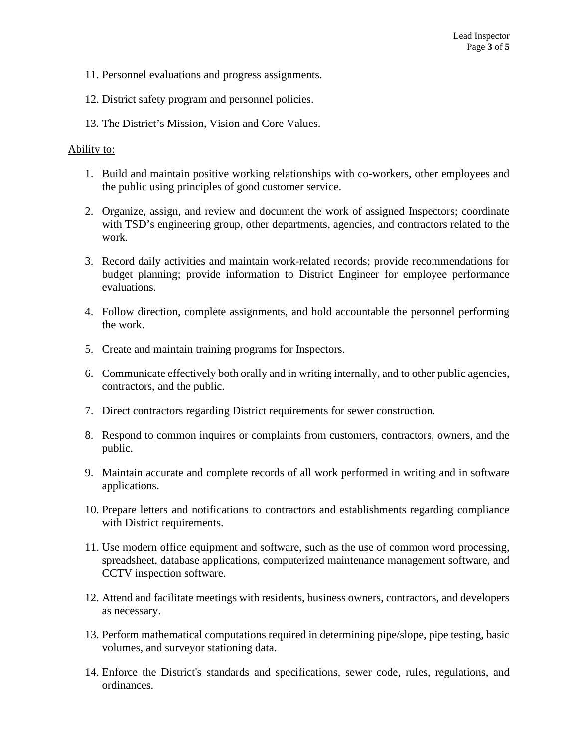- 11. Personnel evaluations and progress assignments.
- 12. District safety program and personnel policies.
- 13. The District's Mission, Vision and Core Values.

### Ability to:

- 1. Build and maintain positive working relationships with co-workers, other employees and the public using principles of good customer service.
- 2. Organize, assign, and review and document the work of assigned Inspectors; coordinate with TSD's engineering group, other departments, agencies, and contractors related to the work.
- 3. Record daily activities and maintain work-related records; provide recommendations for budget planning; provide information to District Engineer for employee performance evaluations.
- 4. Follow direction, complete assignments, and hold accountable the personnel performing the work.
- 5. Create and maintain training programs for Inspectors.
- 6. Communicate effectively both orally and in writing internally, and to other public agencies, contractors, and the public.
- 7. Direct contractors regarding District requirements for sewer construction.
- 8. Respond to common inquires or complaints from customers, contractors, owners, and the public.
- 9. Maintain accurate and complete records of all work performed in writing and in software applications.
- 10. Prepare letters and notifications to contractors and establishments regarding compliance with District requirements.
- 11. Use modern office equipment and software, such as the use of common word processing, spreadsheet, database applications, computerized maintenance management software, and CCTV inspection software.
- 12. Attend and facilitate meetings with residents, business owners, contractors, and developers as necessary.
- 13. Perform mathematical computations required in determining pipe/slope, pipe testing, basic volumes, and surveyor stationing data.
- 14. Enforce the District's standards and specifications, sewer code, rules, regulations, and ordinances.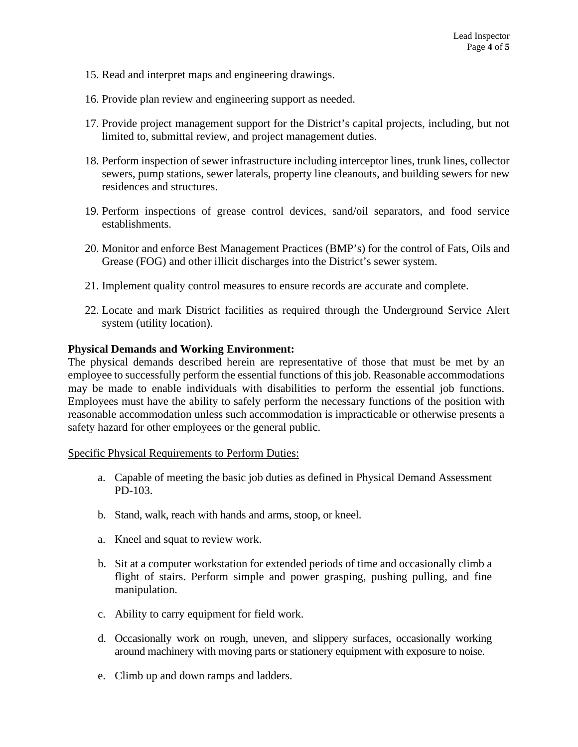- 15. Read and interpret maps and engineering drawings.
- 16. Provide plan review and engineering support as needed.
- 17. Provide project management support for the District's capital projects, including, but not limited to, submittal review, and project management duties.
- 18. Perform inspection of sewer infrastructure including interceptor lines, trunk lines, collector sewers, pump stations, sewer laterals, property line cleanouts, and building sewers for new residences and structures.
- 19. Perform inspections of grease control devices, sand/oil separators, and food service establishments.
- 20. Monitor and enforce Best Management Practices (BMP's) for the control of Fats, Oils and Grease (FOG) and other illicit discharges into the District's sewer system.
- 21. Implement quality control measures to ensure records are accurate and complete.
- 22. Locate and mark District facilities as required through the Underground Service Alert system (utility location).

### **Physical Demands and Working Environment:**

The physical demands described herein are representative of those that must be met by an employee to successfully perform the essential functions of this job. Reasonable accommodations may be made to enable individuals with disabilities to perform the essential job functions. Employees must have the ability to safely perform the necessary functions of the position with reasonable accommodation unless such accommodation is impracticable or otherwise presents a safety hazard for other employees or the general public.

#### Specific Physical Requirements to Perform Duties:

- a. Capable of meeting the basic job duties as defined in Physical Demand Assessment PD-103.
- b. Stand, walk, reach with hands and arms, stoop, or kneel.
- a. Kneel and squat to review work.
- b. Sit at a computer workstation for extended periods of time and occasionally climb a flight of stairs. Perform simple and power grasping, pushing pulling, and fine manipulation.
- c. Ability to carry equipment for field work.
- d. Occasionally work on rough, uneven, and slippery surfaces, occasionally working around machinery with moving parts or stationery equipment with exposure to noise.
- e. Climb up and down ramps and ladders.